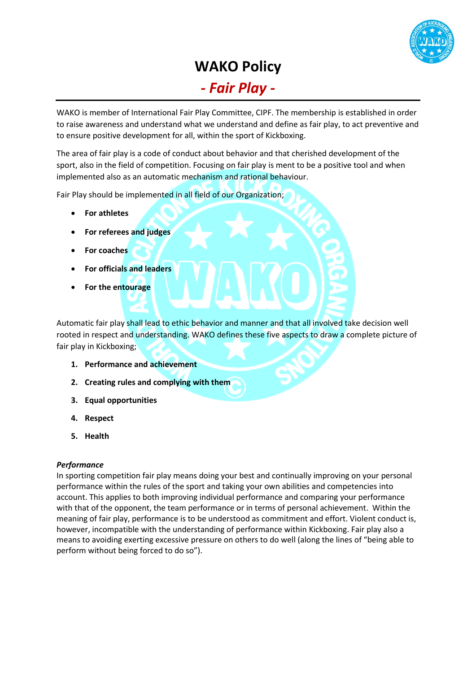

## **WAKO Policy** *- Fair Play -*

WAKO is member of International Fair Play Committee, CIPF. The membership is established in order to raise awareness and understand what we understand and define as fair play, to act preventive and to ensure positive development for all, within the sport of Kickboxing.

The area of fair play is a code of conduct about behavior and that cherished development of the sport, also in the field of competition. Focusing on fair play is ment to be a positive tool and when implemented also as an automatic mechanism and rational behaviour.

Fair Play should be implemented in all field of our Organization;

- **For athletes**
- **For referees and judges**
- **For coaches**
- **For officials and leaders**
- **For the entourage**

Automatic fair play shall lead to ethic behavior and manner and that all involved take decision well rooted in respect and understanding. WAKO defines these five aspects to draw a complete picture of fair play in Kickboxing;

- **1. Performance and achievement**
- **2. Creating rules and complying with them**
- **3. Equal opportunities**
- **4. Respect**
- **5. Health**

#### *Performance*

In sporting competition fair play means doing your best and continually improving on your personal performance within the rules of the sport and taking your own abilities and competencies into account. This applies to both improving individual performance and comparing your performance with that of the opponent, the team performance or in terms of personal achievement. Within the meaning of fair play, performance is to be understood as commitment and effort. Violent conduct is, however, incompatible with the understanding of performance within Kickboxing. Fair play also a means to avoiding exerting excessive pressure on others to do well (along the lines of "being able to perform without being forced to do so").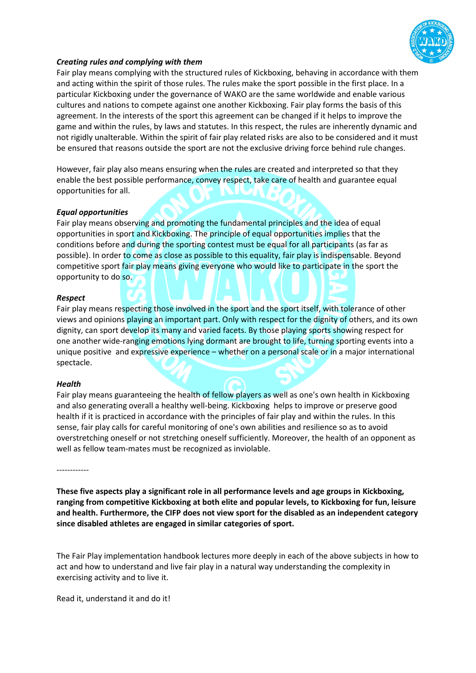

### *Creating rules and complying with them*

Fair play means complying with the structured rules of Kickboxing, behaving in accordance with them and acting within the spirit of those rules. The rules make the sport possible in the first place. In a particular Kickboxing under the governance of WAKO are the same worldwide and enable various cultures and nations to compete against one another Kickboxing. Fair play forms the basis of this agreement. In the interests of the sport this agreement can be changed if it helps to improve the game and within the rules, by laws and statutes. In this respect, the rules are inherently dynamic and not rigidly unalterable. Within the spirit of fair play related risks are also to be considered and it must be ensured that reasons outside the sport are not the exclusive driving force behind rule changes.

However, fair play also means ensuring when the rules are created and interpreted so that they enable the best possible performance, convey respect, take care of health and guarantee equal opportunities for all.

#### *Equal opportunities*

Fair play means observing and promoting the fundamental principles and the idea of equal opportunities in sport and Kickboxing. The principle of equal opportunities implies that the conditions before and during the sporting contest must be equal for all participants (as far as possible). In order to come as close as possible to this equality, fair play is indispensable. Beyond competitive sport fair play means giving everyone who would like to participate in the sport the opportunity to do so.

#### *Respect*

Fair play means respecting those involved in the sport and the sport itself, with tolerance of other views and opinions playing an important part. Only with respect for the dignity of others, and its own dignity, can sport develop its many and varied facets. By those playing sports showing respect for one another wide-ranging emotions lying dormant are brought to life, turning sporting events into a unique positive and expressive experience – whether on a personal scale or in a major international spectacle.

#### *Health*

Fair play means guaranteeing the health of fellow players as well as one's own health in Kickboxing and also generating overall a healthy well-being. Kickboxing helps to improve or preserve good health if it is practiced in accordance with the principles of fair play and within the rules. In this sense, fair play calls for careful monitoring of one's own abilities and resilience so as to avoid overstretching oneself or not stretching oneself sufficiently. Moreover, the health of an opponent as well as fellow team-mates must be recognized as inviolable.

------------

**These five aspects play a significant role in all performance levels and age groups in Kickboxing, ranging from competitive Kickboxing at both elite and popular levels, to Kickboxing for fun, leisure and health. Furthermore, the CIFP does not view sport for the disabled as an independent category since disabled athletes are engaged in similar categories of sport.**

The Fair Play implementation handbook lectures more deeply in each of the above subjects in how to act and how to understand and live fair play in a natural way understanding the complexity in exercising activity and to live it.

Read it, understand it and do it!